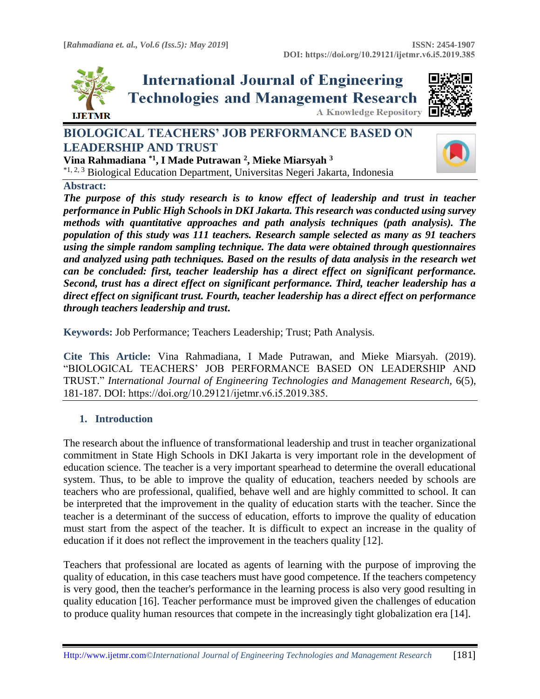

**International Journal of Engineering Technologies and Management Research A Knowledge Repository** 



# **BIOLOGICAL TEACHERS' JOB PERFORMANCE BASED ON LEADERSHIP AND TRUST**



**Vina Rahmadiana \*1, I Made Putrawan <sup>2</sup> , Mieke Miarsyah <sup>3</sup>** \*1, 2, 3 Biological Education Department, Universitas Negeri Jakarta, Indonesia

#### **Abstract:**

*The purpose of this study research is to know effect of leadership and trust in teacher performance in Public High Schools in DKI Jakarta. This research was conducted using survey methods with quantitative approaches and path analysis techniques (path analysis). The population of this study was 111 teachers. Research sample selected as many as 91 teachers using the simple random sampling technique. The data were obtained through questionnaires and analyzed using path techniques. Based on the results of data analysis in the research wet can be concluded: first, teacher leadership has a direct effect on significant performance. Second, trust has a direct effect on significant performance. Third, teacher leadership has a direct effect on significant trust. Fourth, teacher leadership has a direct effect on performance through teachers leadership and trust***.**

**Keywords:** Job Performance; Teachers Leadership; Trust; Path Analysis*.* 

**Cite This Article:** Vina Rahmadiana, I Made Putrawan, and Mieke Miarsyah. (2019). "BIOLOGICAL TEACHERS' JOB PERFORMANCE BASED ON LEADERSHIP AND TRUST." *International Journal of Engineering Technologies and Management Research,* 6(5), 181-187. DOI: https://doi.org/10.29121/ijetmr.v6.i5.2019.385.

## **1. Introduction**

The research about the influence of transformational leadership and trust in teacher organizational commitment in State High Schools in DKI Jakarta is very important role in the development of education science. The teacher is a very important spearhead to determine the overall educational system. Thus, to be able to improve the quality of education, teachers needed by schools are teachers who are professional, qualified, behave well and are highly committed to school. It can be interpreted that the improvement in the quality of education starts with the teacher. Since the teacher is a determinant of the success of education, efforts to improve the quality of education must start from the aspect of the teacher. It is difficult to expect an increase in the quality of education if it does not reflect the improvement in the teachers quality [12].

Teachers that professional are located as agents of learning with the purpose of improving the quality of education, in this case teachers must have good competence. If the teachers competency is very good, then the teacher's performance in the learning process is also very good resulting in quality education [16]. Teacher performance must be improved given the challenges of education to produce quality human resources that compete in the increasingly tight globalization era [14].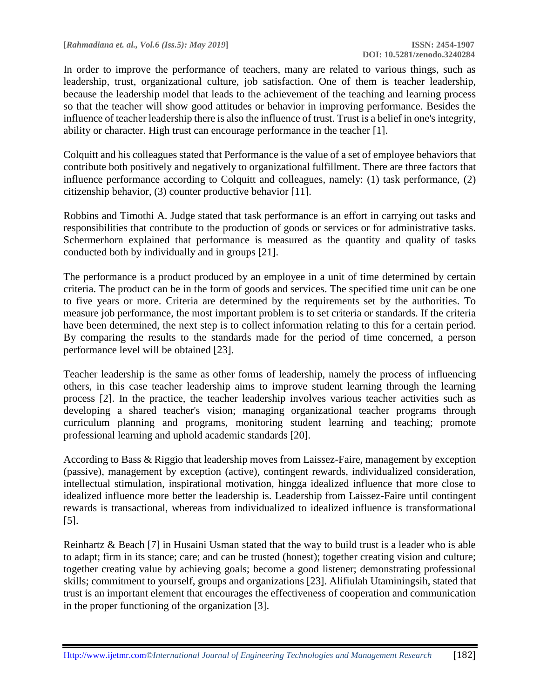**[***Rahmadiana et. al., Vol.6 (Iss.5): May 2019***] ISSN: 2454-1907**

In order to improve the performance of teachers, many are related to various things, such as leadership, trust, organizational culture, job satisfaction. One of them is teacher leadership, because the leadership model that leads to the achievement of the teaching and learning process so that the teacher will show good attitudes or behavior in improving performance. Besides the influence of teacher leadership there is also the influence of trust. Trust is a belief in one's integrity, ability or character. High trust can encourage performance in the teacher [1].

Colquitt and his colleagues stated that Performance is the value of a set of employee behaviors that contribute both positively and negatively to organizational fulfillment. There are three factors that influence performance according to Colquitt and colleagues, namely: (1) task performance, (2) citizenship behavior, (3) counter productive behavior [11].

Robbins and Timothi A. Judge stated that task performance is an effort in carrying out tasks and responsibilities that contribute to the production of goods or services or for administrative tasks. Schermerhorn explained that performance is measured as the quantity and quality of tasks conducted both by individually and in groups [21].

The performance is a product produced by an employee in a unit of time determined by certain criteria. The product can be in the form of goods and services. The specified time unit can be one to five years or more. Criteria are determined by the requirements set by the authorities. To measure job performance, the most important problem is to set criteria or standards. If the criteria have been determined, the next step is to collect information relating to this for a certain period. By comparing the results to the standards made for the period of time concerned, a person performance level will be obtained [23].

Teacher leadership is the same as other forms of leadership, namely the process of influencing others, in this case teacher leadership aims to improve student learning through the learning process [2]. In the practice, the teacher leadership involves various teacher activities such as developing a shared teacher's vision; managing organizational teacher programs through curriculum planning and programs, monitoring student learning and teaching; promote professional learning and uphold academic standards [20].

According to Bass & Riggio that leadership moves from Laissez-Faire, management by exception (passive), management by exception (active), contingent rewards, individualized consideration, intellectual stimulation, inspirational motivation, hingga idealized influence that more close to idealized influence more better the leadership is. Leadership from Laissez-Faire until contingent rewards is transactional, whereas from individualized to idealized influence is transformational [5].

Reinhartz & Beach [7] in Husaini Usman stated that the way to build trust is a leader who is able to adapt; firm in its stance; care; and can be trusted (honest); together creating vision and culture; together creating value by achieving goals; become a good listener; demonstrating professional skills; commitment to yourself, groups and organizations [23]. Alifiulah Utaminingsih, stated that trust is an important element that encourages the effectiveness of cooperation and communication in the proper functioning of the organization [3].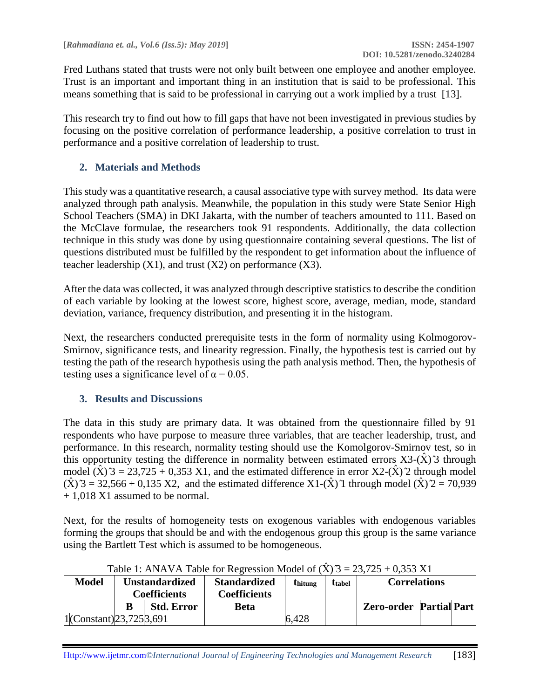Fred Luthans stated that trusts were not only built between one employee and another employee. Trust is an important and important thing in an institution that is said to be professional. This means something that is said to be professional in carrying out a work implied by a trust [13].

This research try to find out how to fill gaps that have not been investigated in previous studies by focusing on the positive correlation of performance leadership, a positive correlation to trust in performance and a positive correlation of leadership to trust.

## **2. Materials and Methods**

This study was a quantitative research, a causal associative type with survey method. Its data were analyzed through path analysis. Meanwhile, the population in this study were State Senior High School Teachers (SMA) in DKI Jakarta, with the number of teachers amounted to 111. Based on the McClave formulae, the researchers took 91 respondents. Additionally, the data collection technique in this study was done by using questionnaire containing several questions. The list of questions distributed must be fulfilled by the respondent to get information about the influence of teacher leadership  $(X1)$ , and trust  $(X2)$  on performance  $(X3)$ .

After the data was collected, it was analyzed through descriptive statistics to describe the condition of each variable by looking at the lowest score, highest score, average, median, mode, standard deviation, variance, frequency distribution, and presenting it in the histogram.

Next, the researchers conducted prerequisite tests in the form of normality using Kolmogorov-Smirnov, significance tests, and linearity regression. Finally, the hypothesis test is carried out by testing the path of the research hypothesis using the path analysis method. Then, the hypothesis of testing uses a significance level of  $\alpha = 0.05$ .

## **3. Results and Discussions**

The data in this study are primary data. It was obtained from the questionnaire filled by 91 respondents who have purpose to measure three variables, that are teacher leadership, trust, and performance. In this research, normality testing should use the Komolgorov-Smirnov test, so in this opportunity testing the difference in normality between estimated errors  $X3-(\hat{X})$ <sup>3</sup> through model  $(\hat{X})$   $\hat{3}$  = 23,725 + 0,353 X1, and the estimated difference in error X2- $(\hat{X})$   $\hat{2}$  through model  $(\hat{X})$  3 = 32,566 + 0,135 X2, and the estimated difference X1- $(\hat{X})$  1 through model  $(\hat{X})$  2 = 70,939 + 1,018 X1 assumed to be normal.

Next, for the results of homogeneity tests on exogenous variables with endogenous variables forming the groups that should be and with the endogenous group this group is the same variance using the Bartlett Test which is assumed to be homogeneous.

| <b>Model</b>                   | <b>Unstandardized</b> |                   | <b>Standardized</b> | <i><b>U</b></i> thitung | ttabel | <b>Correlations</b>            |  |  |
|--------------------------------|-----------------------|-------------------|---------------------|-------------------------|--------|--------------------------------|--|--|
|                                | <b>Coefficients</b>   |                   | Coefficients        |                         |        |                                |  |  |
|                                |                       | <b>Std. Error</b> | Beta                |                         |        | <b>Zero-order Partial Part</b> |  |  |
| $1 $ (Constant) $23,725 3,691$ |                       |                   |                     | 6,428                   |        |                                |  |  |

Table 1: ANAVA Table for Regression Model of  $(\hat{X})$   $\hat{3} = 23.725 + 0.353 \text{ X1}$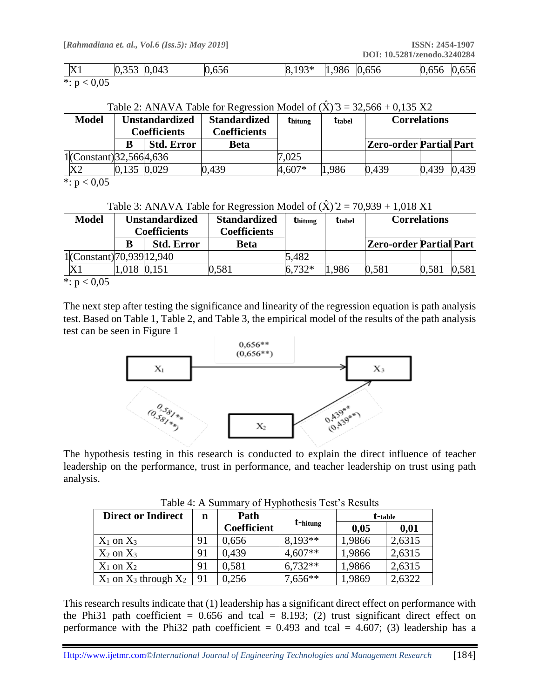| X1            | 0,353 0,043 | 0,656 | $8,193*$ | 1,986 0,656 | 0,656 0,656 |  |
|---------------|-------------|-------|----------|-------------|-------------|--|
| *: $p < 0.05$ |             |       |          |             |             |  |

Table 2: ANAVA Table for Regression Model of  $(\hat{X})$   $\hat{3} = 32,566 + 0,135$  X2

| <b>Model</b>                  | Unstandardized<br><b>Coefficients</b> |                   | <b>Standardized</b><br><b>Coefficients</b> | <b>thitung</b> | <b>t</b> tabel |                         | <b>Correlations</b> |       |
|-------------------------------|---------------------------------------|-------------------|--------------------------------------------|----------------|----------------|-------------------------|---------------------|-------|
|                               |                                       | <b>Std. Error</b> | Beta                                       |                |                | Zero-order Partial Part |                     |       |
| $1 $ (Constant) $32,5664,636$ |                                       |                   |                                            | 7.025          |                |                         |                     |       |
| X <sub>2</sub>                | 0,135 0,029                           |                   | 0.439                                      | 4.607*         | 1.986          | 0.439                   | 0.439               | 0.439 |
| $\star \sim \sim 0.05$        |                                       |                   |                                            |                |                |                         |                     |       |

\*:  $p < 0.05$ 

Table 3: ANAVA Table for Regression Model of  $(\hat{X})/2 = 70,939 + 1,018 \text{ X1}$ 

| <b>Model</b>                               | Unstandardized<br><b>Coefficients</b> |                   | <b>Standardized</b><br>Coefficients | <b>thitung</b> | <b>t</b> tabel |                         | <b>Correlations</b> |       |
|--------------------------------------------|---------------------------------------|-------------------|-------------------------------------|----------------|----------------|-------------------------|---------------------|-------|
|                                            |                                       | <b>Std. Error</b> | <b>Beta</b>                         |                |                | Zero-order Partial Part |                     |       |
| $ 1 $ (Constant) $ 70,939 12,940$          |                                       |                   |                                     | 5,482          |                |                         |                     |       |
|                                            | 0.018                                 |                   | 0.581                               | $6.732*$       | .986           | 0,581                   | 0,581               | 0.581 |
| $\star$ $\sim$ $\sim$ $\sim$ $\sim$ $\sim$ |                                       |                   |                                     |                |                |                         |                     |       |

 $\ddot{\hspace{0.1cm}}$ : p  $< 0,05$ 

The next step after testing the significance and linearity of the regression equation is path analysis test. Based on Table 1, Table 2, and Table 3, the empirical model of the results of the path analysis test can be seen in Figure 1



The hypothesis testing in this research is conducted to explain the direct influence of teacher leadership on the performance, trust in performance, and teacher leadership on trust using path analysis.

| $10010 - 11100$<br>of II, phothesis Test s Restaus |    |                    |           |         |        |  |  |  |  |
|----------------------------------------------------|----|--------------------|-----------|---------|--------|--|--|--|--|
| <b>Direct or Indirect</b>                          | n  | Path               |           | t-table |        |  |  |  |  |
|                                                    |    | <b>Coefficient</b> | t-hitung  | 0,05    | 0,01   |  |  |  |  |
| $X_1$ on $X_3$                                     | 91 | 0,656              | $8,193**$ | 1,9866  | 2,6315 |  |  |  |  |
| $X_2$ on $X_3$                                     | 91 | 0,439              | $4,607**$ | 1,9866  | 2,6315 |  |  |  |  |
| $X_1$ on $X_2$                                     | 91 | 0,581              | $6,732**$ | 1,9866  | 2,6315 |  |  |  |  |
| $X_1$ on $X_3$ through $X_2$                       | 91 | 0,256              | 7,656**   | 1,9869  | 2,6322 |  |  |  |  |

Table 4: A Summary of Hyphothesis Test's Results

This research results indicate that (1) leadership has a significant direct effect on performance with the Phi31 path coefficient =  $0.656$  and tcal = 8.193; (2) trust significant direct effect on performance with the Phi32 path coefficient =  $0.493$  and tcal =  $4.607$ ; (3) leadership has a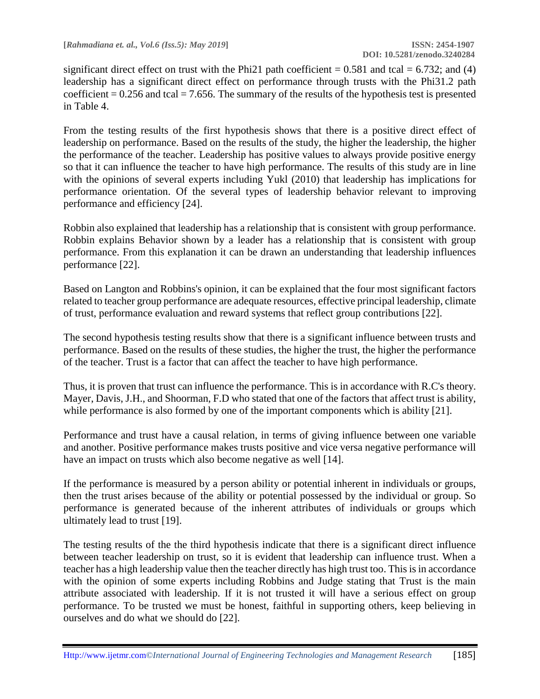significant direct effect on trust with the Phi21 path coefficient  $= 0.581$  and tcal  $= 6.732$ ; and (4) leadership has a significant direct effect on performance through trusts with the Phi31.2 path coefficient  $= 0.256$  and tcal  $= 7.656$ . The summary of the results of the hypothesis test is presented in Table 4.

From the testing results of the first hypothesis shows that there is a positive direct effect of leadership on performance. Based on the results of the study, the higher the leadership, the higher the performance of the teacher. Leadership has positive values to always provide positive energy so that it can influence the teacher to have high performance. The results of this study are in line with the opinions of several experts including Yukl (2010) that leadership has implications for performance orientation. Of the several types of leadership behavior relevant to improving performance and efficiency [24].

Robbin also explained that leadership has a relationship that is consistent with group performance. Robbin explains Behavior shown by a leader has a relationship that is consistent with group performance. From this explanation it can be drawn an understanding that leadership influences performance [22].

Based on Langton and Robbins's opinion, it can be explained that the four most significant factors related to teacher group performance are adequate resources, effective principal leadership, climate of trust, performance evaluation and reward systems that reflect group contributions [22].

The second hypothesis testing results show that there is a significant influence between trusts and performance. Based on the results of these studies, the higher the trust, the higher the performance of the teacher. Trust is a factor that can affect the teacher to have high performance.

Thus, it is proven that trust can influence the performance. This is in accordance with R.C's theory. Mayer, Davis, J.H., and Shoorman, F.D who stated that one of the factors that affect trust is ability, while performance is also formed by one of the important components which is ability [21].

Performance and trust have a causal relation, in terms of giving influence between one variable and another. Positive performance makes trusts positive and vice versa negative performance will have an impact on trusts which also become negative as well [14].

If the performance is measured by a person ability or potential inherent in individuals or groups, then the trust arises because of the ability or potential possessed by the individual or group. So performance is generated because of the inherent attributes of individuals or groups which ultimately lead to trust [19].

The testing results of the the third hypothesis indicate that there is a significant direct influence between teacher leadership on trust, so it is evident that leadership can influence trust. When a teacher has a high leadership value then the teacher directly has high trust too. This is in accordance with the opinion of some experts including Robbins and Judge stating that Trust is the main attribute associated with leadership. If it is not trusted it will have a serious effect on group performance. To be trusted we must be honest, faithful in supporting others, keep believing in ourselves and do what we should do [22].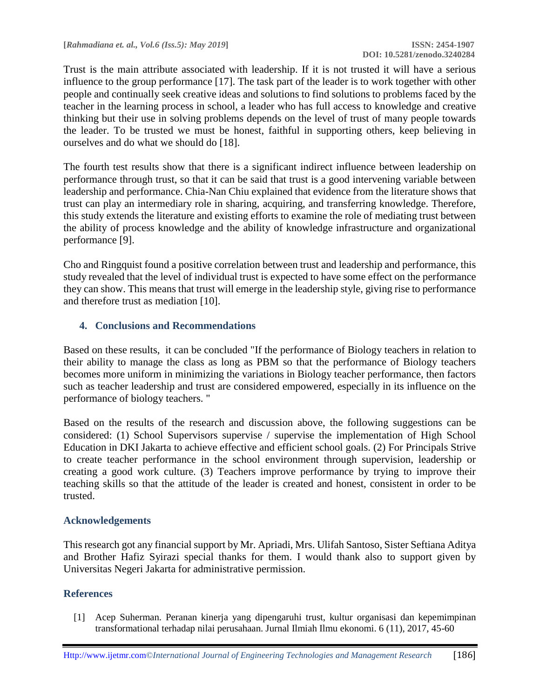Trust is the main attribute associated with leadership. If it is not trusted it will have a serious influence to the group performance [17]. The task part of the leader is to work together with other people and continually seek creative ideas and solutions to find solutions to problems faced by the teacher in the learning process in school, a leader who has full access to knowledge and creative thinking but their use in solving problems depends on the level of trust of many people towards the leader. To be trusted we must be honest, faithful in supporting others, keep believing in ourselves and do what we should do [18].

The fourth test results show that there is a significant indirect influence between leadership on performance through trust, so that it can be said that trust is a good intervening variable between leadership and performance. Chia-Nan Chiu explained that evidence from the literature shows that trust can play an intermediary role in sharing, acquiring, and transferring knowledge. Therefore, this study extends the literature and existing efforts to examine the role of mediating trust between the ability of process knowledge and the ability of knowledge infrastructure and organizational performance [9].

Cho and Ringquist found a positive correlation between trust and leadership and performance, this study revealed that the level of individual trust is expected to have some effect on the performance they can show. This means that trust will emerge in the leadership style, giving rise to performance and therefore trust as mediation [10].

## **4. Conclusions and Recommendations**

Based on these results, it can be concluded "If the performance of Biology teachers in relation to their ability to manage the class as long as PBM so that the performance of Biology teachers becomes more uniform in minimizing the variations in Biology teacher performance, then factors such as teacher leadership and trust are considered empowered, especially in its influence on the performance of biology teachers. "

Based on the results of the research and discussion above, the following suggestions can be considered: (1) School Supervisors supervise / supervise the implementation of High School Education in DKI Jakarta to achieve effective and efficient school goals. (2) For Principals Strive to create teacher performance in the school environment through supervision, leadership or creating a good work culture. (3) Teachers improve performance by trying to improve their teaching skills so that the attitude of the leader is created and honest, consistent in order to be trusted.

#### **Acknowledgements**

This research got any financial support by Mr. Apriadi, Mrs. Ulifah Santoso, Sister Seftiana Aditya and Brother Hafiz Syirazi special thanks for them. I would thank also to support given by Universitas Negeri Jakarta for administrative permission.

#### **References**

[1] Acep Suherman. Peranan kinerja yang dipengaruhi trust, kultur organisasi dan kepemimpinan transformational terhadap nilai perusahaan. Jurnal Ilmiah Ilmu ekonomi. 6 (11), 2017, 45-60